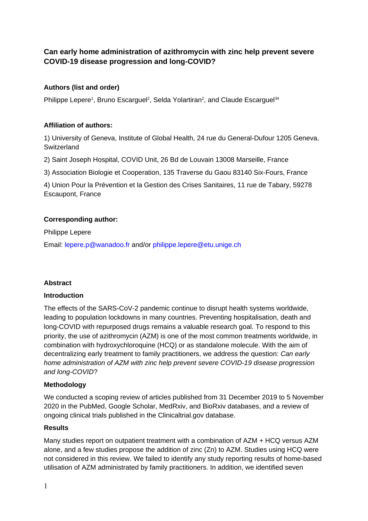# **Can early home administration of azithromycin with zinc help prevent severe COVID-19 disease progression and long-COVID?**

## **Authors (list and order)**

Philippe Lepere<sup>1</sup>, Bruno Escarguel<sup>2</sup>, Selda Yolartiran<sup>2</sup>, and Claude Escarguel<sup>34</sup>

## **Affiliation of authors:**

1) University of Geneva, Institute of Global Health, 24 rue du General-Dufour 1205 Geneva, **Switzerland** 

2) Saint Joseph Hospital, COVID Unit, 26 Bd de Louvain 13008 Marseille, France

3) Association Biologie et Cooperation, 135 Traverse du Gaou 83140 Six-Fours, France

4) Union Pour la Prévention et la Gestion des Crises Sanitaires, 11 rue de Tabary, 59278 Escaupont, France

#### **Corresponding author:**

Philippe Lepere

Email: lepere.p@wanadoo.fr and/or philippe.lepere@etu.unige.ch

## **Abstract**

#### **Introduction**

The effects of the SARS-CoV-2 pandemic continue to disrupt health systems worldwide, leading to population lockdowns in many countries. Preventing hospitalisation, death and long-COVID with repurposed drugs remains a valuable research goal. To respond to this priority, the use of azithromycin (AZM) is one of the most common treatments worldwide, in combination with hydroxychloroquine (HCQ) or as standalone molecule. With the aim of decentralizing early treatment to family practitioners, we address the question: *Can early home administration of AZM with zinc help prevent severe COVID-19 disease progression and long-COVID*?

#### **Methodology**

We conducted a scoping review of articles published from 31 December 2019 to 5 November 2020 in the PubMed, Google Scholar, MedRxiv, and BioRxiv databases, and a review of ongoing clinical trials published in the Clinicaltrial.gov database.

#### **Results**

Many studies report on outpatient treatment with a combination of AZM + HCQ versus AZM alone, and a few studies propose the addition of zinc (Zn) to AZM. Studies using HCQ were not considered in this review. We failed to identify any study reporting results of home-based utilisation of AZM administrated by family practitioners. In addition, we identified seven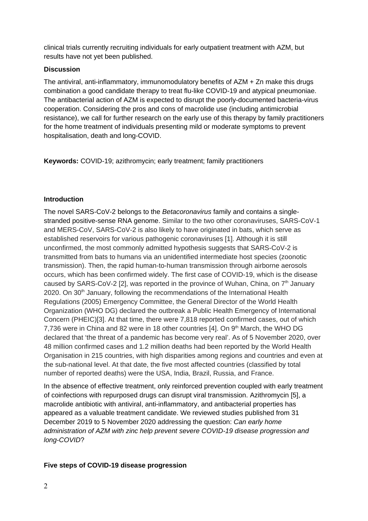clinical trials currently recruiting individuals for early outpatient treatment with AZM, but results have not yet been published.

## **Discussion**

The antiviral, anti-inflammatory, immunomodulatory benefits of AZM + Zn make this drugs combination a good candidate therapy to treat flu-like COVID-19 and atypical pneumoniae. The antibacterial action of AZM is expected to disrupt the poorly-documented bacteria-virus cooperation. Considering the pros and cons of macrolide use (including antimicrobial resistance), we call for further research on the early use of this therapy by family practitioners for the home treatment of individuals presenting mild or moderate symptoms to prevent hospitalisation, death and long-COVID.

**Keywords:** COVID-19; azithromycin; early treatment; family practitioners

#### **Introduction**

The novel SARS-CoV-2 belongs to the *Betacoronavirus* family and contains a singlestranded positive-sense RNA genome. Similar to the two other coronaviruses, SARS-CoV-1 and MERS-CoV, SARS-CoV-2 is also likely to have originated in bats, which serve as established reservoirs for various pathogenic coronaviruses [1]. Although it is still unconfirmed, the most commonly admitted hypothesis suggests that SARS-CoV-2 is transmitted from bats to humans via an unidentified intermediate host species (zoonotic transmission). Then, the rapid human-to-human transmission through airborne aerosols occurs, which has been confirmed widely. The first case of COVID-19, which is the disease caused by SARS-CoV-2 [2], was reported in the province of Wuhan, China, on  $7<sup>th</sup>$  January 2020. On 30<sup>th</sup> January, following the recommendations of the International Health Regulations (2005) Emergency Committee, the General Director of the World Health Organization (WHO DG) declared the outbreak a Public Health Emergency of International Concern (PHEIC)[3]. At that time, there were 7,818 reported confirmed cases, out of which 7,736 were in China and 82 were in 18 other countries  $[4]$ . On  $9<sup>th</sup>$  March, the WHO DG declared that 'the threat of a pandemic has become very real'. As of 5 November 2020, over 48 million confirmed cases and 1.2 million deaths had been reported by the World Health Organisation in 215 countries, with high disparities among regions and countries and even at the sub-national level. At that date, the five most affected countries (classified by total number of reported deaths) were the USA, India, Brazil, Russia, and France.

In the absence of effective treatment, only reinforced prevention coupled with early treatment of coinfections with repurposed drugs can disrupt viral transmission. Azithromycin [5], a macrolide antibiotic with antiviral, anti-inflammatory, and antibacterial properties has appeared as a valuable treatment candidate. We reviewed studies published from 31 December 2019 to 5 November 2020 addressing the question: *Can early home administration of AZM with zinc help prevent severe COVID-19 disease progression and long-COVID*?

## **Five steps of COVID-19 disease progression**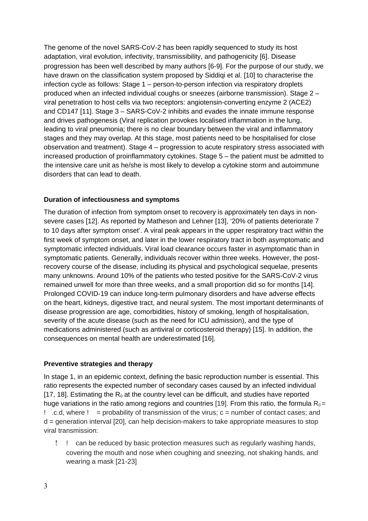The genome of the novel SARS-CoV-2 has been rapidly sequenced to study its host adaptation, viral evolution, infectivity, transmissibility, and pathogenicity [6]. Disease progression has been well described by many authors [6-9]. For the purpose of our study, we have drawn on the classification system proposed by Siddiqi et al. [10] to characterise the infection cycle as follows: Stage 1 – person-to-person infection via respiratory droplets produced when an infected individual coughs or sneezes (airborne transmission). Stage 2 – viral penetration to host cells via two receptors: angiotensin-converting enzyme 2 (ACE2) and CD147 [11]. Stage 3 – SARS-CoV-2 inhibits and evades the innate immune response and drives pathogenesis (Viral replication provokes localised inflammation in the lung, leading to viral pneumonia; there is no clear boundary between the viral and inflammatory stages and they may overlap. At this stage, most patients need to be hospitalised for close observation and treatment). Stage 4 – progression to acute respiratory stress associated with increased production of proinflammatory cytokines. Stage 5 – the patient must be admitted to the intensive care unit as he/she is most likely to develop a cytokine storm and autoimmune disorders that can lead to death.

## **Duration of infectiousness and symptoms**

The duration of infection from symptom onset to recovery is approximately ten days in nonsevere cases [12]. As reported by Matheson and Lehner [13], '20% of patients deteriorate 7 to 10 days after symptom onset'. A viral peak appears in the upper respiratory tract within the first week of symptom onset, and later in the lower respiratory tract in both asymptomatic and symptomatic infected individuals. Viral load clearance occurs faster in asymptomatic than in symptomatic patients. Generally, individuals recover within three weeks. However, the postrecovery course of the disease, including its physical and psychological sequelae, presents many unknowns. Around 10% of the patients who tested positive for the SARS-CoV-2 virus remained unwell for more than three weeks, and a small proportion did so for months [14]. Prolonged COVID-19 can induce long-term pulmonary disorders and have adverse effects on the heart, kidneys, digestive tract, and neural system. The most important determinants of disease progression are age, comorbidities, history of smoking, length of hospitalisation, severity of the acute disease (such as the need for ICU admission), and the type of medications administered (such as antiviral or corticosteroid therapy) [15]. In addition, the consequences on mental health are underestimated [16].

## **Preventive strategies and therapy**

In stage 1, in an epidemic context, defining the basic reproduction number is essential. This ratio represents the expected number of secondary cases caused by an infected individual [17, 18]. Estimating the  $R_0$  at the country level can be difficult, and studies have reported huge variations in the ratio among regions and countries [19]. From this ratio, the formula  $R_0 =$ .c.d, where  $\ell$  = probability of transmission of the virus;  $c$  = number of contact cases; and d = generation interval [20], can help decision-makers to take appropriate measures to stop viral transmission:

 can be reduced by basic protection measures such as regularly washing hands, covering the mouth and nose when coughing and sneezing, not shaking hands, and wearing a mask [21-23]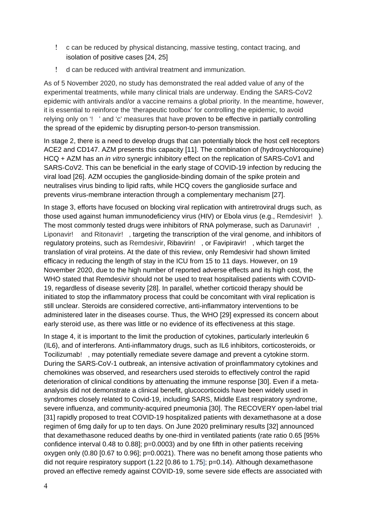- c can be reduced by physical distancing, massive testing, contact tracing, and isolation of positive cases [24, 25]
- d can be reduced with antiviral treatment and immunization.

As of 5 November 2020, no study has demonstrated the real added value of any of the experimental treatments, while many clinical trials are underway. Ending the SARS-CoV2 epidemic with antivirals and/or a vaccine remains a global priority. In the meantime, however, it is essential to reinforce the 'therapeutic toolbox' for controlling the epidemic, to avoid relying only on '! ' and 'c' measures that have proven to be effective in partially controlling the spread of the epidemic by disrupting person-to-person transmission.

In stage 2, there is a need to develop drugs that can potentially block the host cell receptors ACE2 and CD147. AZM presents this capacity [11]. The combination of (hydroxychloroquine) HCQ + AZM has an *in vitro* synergic inhibitory effect on the replication of SARS-CoV1 and SARS-CoV2. This can be beneficial in the early stage of COVID-19 infection by reducing the viral load [26]. AZM occupies the ganglioside-binding domain of the spike protein and neutralises virus binding to lipid rafts, while HCQ covers the ganglioside surface and prevents virus-membrane interaction through a complementary mechanism [27].

In stage 3, efforts have focused on blocking viral replication with antiretroviral drugs such, as those used against human immunodeficiency virus (HIV) or Ebola virus (e.g., Remdesivir!). The most commonly tested drugs were inhibitors of RNA polymerase, such as Darunavir!, Liponavir! and Ritonavir!, targeting the transcription of the viral genome, and inhibitors of regulatory proteins, such as Remdesivir, Ribavirin!, or Favipiravir!, which target the translation of viral proteins. At the date of this review, only Remdesivir had shown limited efficacy in reducing the length of stay in the ICU from 15 to 11 days. However, on 19 November 2020, due to the high number of reported adverse effects and its high cost, the WHO stated that Remdesivir should not be used to treat hospitalised patients with COVID-19, regardless of disease severity [28]. In parallel, whether corticoid therapy should be initiated to stop the inflammatory process that could be concomitant with viral replication is still unclear. Steroids are considered corrective, anti-inflammatory interventions to be administered later in the diseases course. Thus, the WHO [29] expressed its concern about early steroid use, as there was little or no evidence of its effectiveness at this stage.

In stage 4, it is important to the limit the production of cytokines, particularly interleukin 6 (IL6), and of interferons. Anti-inflammatory drugs, such as IL6 inhibitors, corticosteroids, or Tocilizumab!, may potentially remediate severe damage and prevent a cytokine storm. During the SARS-CoV-1 outbreak, an intensive activation of proinflammatory cytokines and chemokines was observed, and researchers used steroids to effectively control the rapid deterioration of clinical conditions by attenuating the immune response [30]. Even if a metaanalysis did not demonstrate a clinical benefit, glucocorticoids have been widely used in syndromes closely related to Covid-19, including SARS, Middle East respiratory syndrome, severe influenza, and community-acquired pneumonia [30]. The RECOVERY open-label trial [31] rapidly proposed to treat COVID-19 hospitalized patients with dexamethasone at a dose regimen of 6mg daily for up to ten days. On June 2020 preliminary results [32] announced that dexamethasone reduced deaths by one-third in ventilated patients (rate ratio 0.65 [95% confidence interval 0.48 to 0.88]; p=0.0003) and by one fifth in other patients receiving oxygen only (0.80 [0.67 to 0.96]; p=0.0021). There was no benefit among those patients who did not require respiratory support (1.22 [0.86 to 1.75]; p=0.14). Although dexamethasone proved an effective remedy against COVID-19, some severe side effects are associated with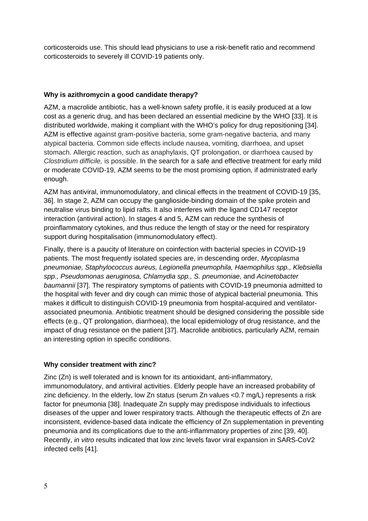corticosteroids use. This should lead physicians to use a risk-benefit ratio and recommend corticosteroids to severely ill COVID-19 patients only.

#### **Why is azithromycin a good candidate therapy?**

AZM, a macrolide antibiotic, has a well-known safety profile, it is easily produced at a low cost as a generic drug, and has been declared an essential medicine by the WHO [33]. It is distributed worldwide, making it compliant with the WHO's policy for drug repositioning [34]. AZM is effective against gram-positive bacteria, some gram-negative bacteria, and many atypical bacteria. Common side effects include nausea, vomiting, diarrhoea, and upset stomach. Allergic reaction, such as anaphylaxis, QT prolongation, or diarrhoea caused by *Clostridium difficile,* is possible. In the search for a safe and effective treatment for early mild or moderate COVID-19, AZM seems to be the most promising option, if administrated early enough.

AZM has antiviral, immunomodulatory, and clinical effects in the treatment of COVID-19 [35, 36]. In stage 2, AZM can occupy the ganglioside-binding domain of the spike protein and neutralise virus binding to lipid rafts. It also interferes with the ligand CD147 receptor interaction (antiviral action). In stages 4 and 5, AZM can reduce the synthesis of proinflammatory cytokines, and thus reduce the length of stay or the need for respiratory support during hospitalisation (immunomodulatory effect).

Finally, there is a paucity of literature on coinfection with bacterial species in COVID-19 patients. The most frequently isolated species are, in descending order, *Mycoplasma pneumoniae, Staphylococcus aureus, Legionella pneumophila, Haemophilus spp., Klebsiella spp., Pseudomonas aeruginosa, Chlamydia spp., S. pneumoniae,* and *Acinetobacter baumannii* [37]. The respiratory symptoms of patients with COVID-19 pneumonia admitted to the hospital with fever and dry cough can mimic those of atypical bacterial pneumonia. This makes it difficult to distinguish COVID-19 pneumonia from hospital-acquired and ventilatorassociated pneumonia. Antibiotic treatment should be designed considering the possible side effects (e.g., QT prolongation, diarrhoea), the local epidemiology of drug resistance, and the impact of drug resistance on the patient [37]. Macrolide antibiotics, particularly AZM, remain an interesting option in specific conditions.

#### **Why consider treatment with zinc?**

Zinc (Zn) is well tolerated and is known for its antioxidant, anti-inflammatory, immunomodulatory, and antiviral activities. Elderly people have an increased probability of zinc deficiency. In the elderly, low Zn status (serum Zn values <0.7 mg/L) represents a risk factor for pneumonia [38]. Inadequate Zn supply may predispose individuals to infectious diseases of the upper and lower respiratory tracts. Although the therapeutic effects of Zn are inconsistent, evidence-based data indicate the efficiency of Zn supplementation in preventing pneumonia and its complications due to the anti-inflammatory properties of zinc [39, 40]. Recently, *in vitro* results indicated that low zinc levels favor viral expansion in SARS-CoV2 infected cells [41].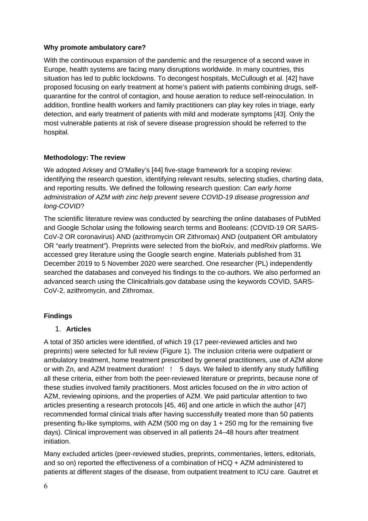#### **Why promote ambulatory care?**

With the continuous expansion of the pandemic and the resurgence of a second wave in Europe, health systems are facing many disruptions worldwide. In many countries, this situation has led to public lockdowns. To decongest hospitals, McCullough et al. [42] have proposed focusing on early treatment at home's patient with patients combining drugs, selfquarantine for the control of contagion, and house aeration to reduce self-reinoculation. In addition, frontline health workers and family practitioners can play key roles in triage, early detection, and early treatment of patients with mild and moderate symptoms [43]. Only the most vulnerable patients at risk of severe disease progression should be referred to the hospital.

## **Methodology: The review**

We adopted Arksey and O'Malley's [44] five-stage framework for a scoping review: identifying the research question, identifying relevant results, selecting studies, charting data, and reporting results. We defined the following research question: *Can early home administration of AZM with zinc help prevent severe COVID-19 disease progression and long-COVID*?

The scientific literature review was conducted by searching the online databases of PubMed and Google Scholar using the following search terms and Booleans: (COVID-19 OR SARS-CoV-2 OR coronavirus) AND (azithromycin OR Zithromax) AND (outpatient OR ambulatory OR "early treatment"). Preprints were selected from the bioRxiv, and medRxiv platforms. We accessed grey literature using the Google search engine. Materials published from 31 December 2019 to 5 November 2020 were searched. One researcher (PL) independently searched the databases and conveyed his findings to the co-authors. We also performed an advanced search using the Clinicaltrials.gov database using the keywords COVID, SARS-CoV-2, azithromycin, and Zithromax.

## **Findings**

## 1. **Articles**

A total of 350 articles were identified, of which 19 (17 peer-reviewed articles and two preprints) were selected for full review (Figure 1). The inclusion criteria were outpatient or ambulatory treatment, home treatment prescribed by general practitioners, use of AZM alone or with Zn, and AZM treatment duration! ! 5 days. We failed to identify any study fulfilling all these criteria, either from both the peer-reviewed literature or preprints, because none of these studies involved family practitioners. Most articles focused on the *in vitro* action of AZM, reviewing opinions, and the properties of AZM. We paid particular attention to two articles presenting a research protocols [45, 46] and one article in which the author [47] recommended formal clinical trials after having successfully treated more than 50 patients presenting flu-like symptoms, with AZM (500 mg on day  $1 + 250$  mg for the remaining five days). Clinical improvement was observed in all patients 24–48 hours after treatment initiation.

Many excluded articles (peer-reviewed studies, preprints, commentaries, letters, editorials, and so on) reported the effectiveness of a combination of HCQ + AZM administered to patients at different stages of the disease, from outpatient treatment to ICU care. Gautret et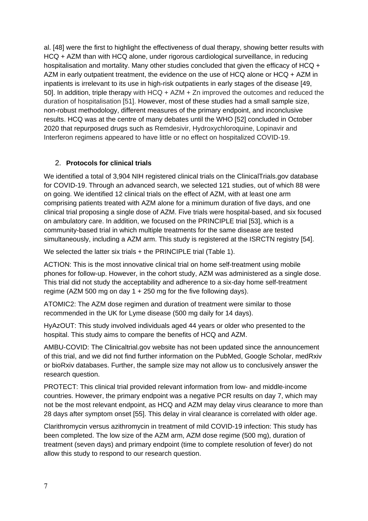al. [48] were the first to highlight the effectiveness of dual therapy, showing better results with HCQ + AZM than with HCQ alone, under rigorous cardiological surveillance, in reducing hospitalisation and mortality. Many other studies concluded that given the efficacy of HCO  $+$ AZM in early outpatient treatment, the evidence on the use of HCQ alone or HCQ + AZM in inpatients is irrelevant to its use in high-risk outpatients in early stages of the disease [49, 50]. In addition, triple therapy with HCQ + AZM + Zn improved the outcomes and reduced the duration of hospitalisation [51]. However, most of these studies had a small sample size, non-robust methodology, different measures of the primary endpoint, and inconclusive results. HCQ was at the centre of many debates until the WHO [52] concluded in October 2020 that repurposed drugs such as Remdesivir, Hydroxychloroquine, Lopinavir and Interferon regimens appeared to have little or no effect on hospitalized COVID-19.

## 2. **Protocols for clinical trials**

We identified a total of 3,904 NIH registered clinical trials on the ClinicalTrials.gov database for COVID-19. Through an advanced search, we selected 121 studies, out of which 88 were on going. We identified 12 clinical trials on the effect of AZM, with at least one arm comprising patients treated with AZM alone for a minimum duration of five days, and one clinical trial proposing a single dose of AZM. Five trials were hospital-based, and six focused on ambulatory care. In addition, we focused on the PRINCIPLE trial [53], which is a community-based trial in which multiple treatments for the same disease are tested simultaneously, including a AZM arm. This study is registered at the ISRCTN registry [54].

We selected the latter six trials + the PRINCIPLE trial (Table 1).

ACTION: This is the most innovative clinical trial on home self-treatment using mobile phones for follow-up. However, in the cohort study, AZM was administered as a single dose. This trial did not study the acceptability and adherence to a six-day home self-treatment regime (AZM 500 mg on day  $1 + 250$  mg for the five following days).

ATOMIC2: The AZM dose regimen and duration of treatment were similar to those recommended in the UK for Lyme disease (500 mg daily for 14 days).

HyAzOUT: This study involved individuals aged 44 years or older who presented to the hospital. This study aims to compare the benefits of HCQ and AZM.

AMBU-COVID: The Clinicaltrial.gov website has not been updated since the announcement of this trial, and we did not find further information on the PubMed, Google Scholar, medRxiv or bioRxiv databases. Further, the sample size may not allow us to conclusively answer the research question.

PROTECT: This clinical trial provided relevant information from low- and middle-income countries. However, the primary endpoint was a negative PCR results on day 7, which may not be the most relevant endpoint, as HCQ and AZM may delay virus clearance to more than 28 days after symptom onset [55]. This delay in viral clearance is correlated with older age.

Clarithromycin versus azithromycin in treatment of mild COVID-19 infection: This study has been completed. The low size of the AZM arm, AZM dose regime (500 mg), duration of treatment (seven days) and primary endpoint (time to complete resolution of fever) do not allow this study to respond to our research question.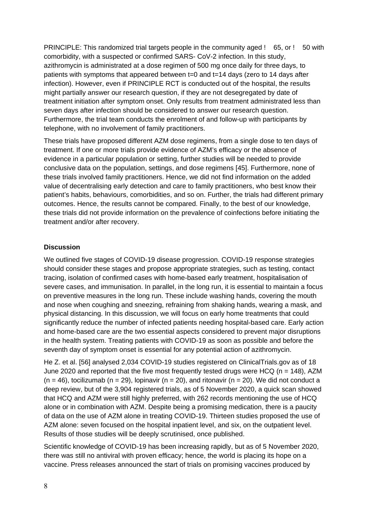PRINCIPLE: This randomized trial targets people in the community aged  $\,$  65, or  $\,$  50 with comorbidity, with a suspected or confirmed SARS- CoV-2 infection. In this study, azithromycin is administrated at a dose regimen of 500 mg once daily for three days, to patients with symptoms that appeared between t=0 and t=14 days (zero to 14 days after infection). However, even if PRINCIPLE RCT is conducted out of the hospital, the results might partially answer our research question, if they are not desegregated by date of treatment initiation after symptom onset. Only results from treatment administrated less than seven days after infection should be considered to answer our research question. Furthermore, the trial team conducts the enrolment of and follow-up with participants by telephone, with no involvement of family practitioners.

These trials have proposed different AZM dose regimens, from a single dose to ten days of treatment. If one or more trials provide evidence of AZM's efficacy or the absence of evidence in a particular population or setting, further studies will be needed to provide conclusive data on the population, settings, and dose regimens [45]. Furthermore, none of these trials involved family practitioners. Hence, we did not find information on the added value of decentralising early detection and care to family practitioners, who best know their patient's habits, behaviours, comorbidities, and so on. Further, the trials had different primary outcomes. Hence, the results cannot be compared. Finally, to the best of our knowledge, these trials did not provide information on the prevalence of coinfections before initiating the treatment and/or after recovery.

#### **Discussion**

We outlined five stages of COVID-19 disease progression. COVID-19 response strategies should consider these stages and propose appropriate strategies, such as testing, contact tracing, isolation of confirmed cases with home-based early treatment, hospitalisation of severe cases, and immunisation. In parallel, in the long run, it is essential to maintain a focus on preventive measures in the long run. These include washing hands, covering the mouth and nose when coughing and sneezing, refraining from shaking hands, wearing a mask, and physical distancing. In this discussion, we will focus on early home treatments that could significantly reduce the number of infected patients needing hospital-based care. Early action and home-based care are the two essential aspects considered to prevent major disruptions in the health system. Treating patients with COVID-19 as soon as possible and before the seventh day of symptom onset is essential for any potential action of azithromycin.

He Z. et al. [56] analysed 2,034 COVID-19 studies registered on ClinicalTrials.gov as of 18 June 2020 and reported that the five most frequently tested drugs were HCQ (n = 148), AZM  $(n = 46)$ , tocilizumab  $(n = 29)$ , lopinavir  $(n = 20)$ , and ritonavir  $(n = 20)$ . We did not conduct a deep review, but of the 3,904 registered trials, as of 5 November 2020, a quick scan showed that HCQ and AZM were still highly preferred, with 262 records mentioning the use of HCQ alone or in combination with AZM. Despite being a promising medication, there is a paucity of data on the use of AZM alone in treating COVID-19. Thirteen studies proposed the use of AZM alone: seven focused on the hospital inpatient level, and six, on the outpatient level. Results of those studies will be deeply scrutinised, once published.

Scientific knowledge of COVID-19 has been increasing rapidly, but as of 5 November 2020, there was still no antiviral with proven efficacy; hence, the world is placing its hope on a vaccine. Press releases announced the start of trials on promising vaccines produced by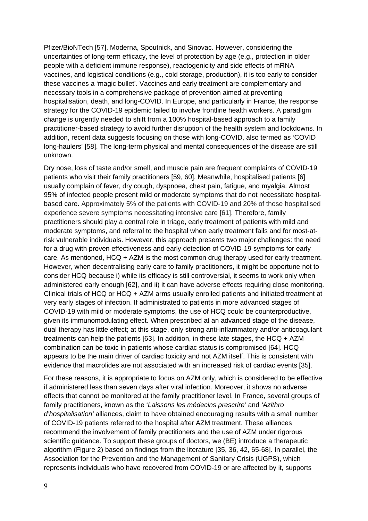Pfizer/BioNTech [57], Moderna, Spoutnick, and Sinovac. However, considering the uncertainties of long-term efficacy, the level of protection by age (e.g., protection in older people with a deficient immune response), reactogenicity and side effects of mRNA vaccines, and logistical conditions (e.g., cold storage, production), it is too early to consider these vaccines a 'magic bullet'. Vaccines and early treatment are complementary and necessary tools in a comprehensive package of prevention aimed at preventing hospitalisation, death, and long-COVID. In Europe, and particularly in France, the response strategy for the COVID-19 epidemic failed to involve frontline health workers. A paradigm change is urgently needed to shift from a 100% hospital-based approach to a family practitioner-based strategy to avoid further disruption of the health system and lockdowns. In addition, recent data suggests focusing on those with long-COVID, also termed as 'COVID long-haulers' [58]. The long-term physical and mental consequences of the disease are still unknown.

Dry nose, loss of taste and/or smell, and muscle pain are frequent complaints of COVID-19 patients who visit their family practitioners [59, 60]. Meanwhile, hospitalised patients [6] usually complain of fever, dry cough, dyspnoea, chest pain, fatigue, and myalgia. Almost 95% of infected people present mild or moderate symptoms that do not necessitate hospitalbased care. Approximately 5% of the patients with COVID-19 and 20% of those hospitalised experience severe symptoms necessitating intensive care [61]. Therefore, family practitioners should play a central role in triage, early treatment of patients with mild and moderate symptoms, and referral to the hospital when early treatment fails and for most-atrisk vulnerable individuals. However, this approach presents two major challenges: the need for a drug with proven effectiveness and early detection of COVID-19 symptoms for early care. As mentioned, HCQ + AZM is the most common drug therapy used for early treatment. However, when decentralising early care to family practitioners, it might be opportune not to consider HCQ because i) while its efficacy is still controversial, it seems to work only when administered early enough [62], and ii) it can have adverse effects requiring close monitoring. Clinical trials of HCQ or HCQ + AZM arms usually enrolled patients and initiated treatment at very early stages of infection. If administrated to patients in more advanced stages of COVID-19 with mild or moderate symptoms, the use of HCQ could be counterproductive, given its immunomodulating effect. When prescribed at an advanced stage of the disease, dual therapy has little effect; at this stage, only strong anti-inflammatory and/or anticoagulant treatments can help the patients [63]. In addition, in these late stages, the HCQ + AZM combination can be toxic in patients whose cardiac status is compromised [64]. HCQ appears to be the main driver of cardiac toxicity and not AZM itself. This is consistent with evidence that macrolides are not associated with an increased risk of cardiac events [35].

For these reasons, it is appropriate to focus on AZM only, which is considered to be effective if administered less than seven days after viral infection. Moreover, it shows no adverse effects that cannot be monitored at the family practitioner level. In France, several groups of family practitioners, known as the '*Laissons les médecins prescrire'* and *'Azithro d'hospitalisation'* alliances, claim to have obtained encouraging results with a small number of COVID-19 patients referred to the hospital after AZM treatment. These alliances recommend the involvement of family practitioners and the use of AZM under rigorous scientific guidance. To support these groups of doctors, we (BE) introduce a therapeutic algorithm (Figure 2) based on findings from the literature [35, 36, 42, 65-68]. In parallel, the Association for the Prevention and the Management of Sanitary Crisis (UGPS), which represents individuals who have recovered from COVID-19 or are affected by it, supports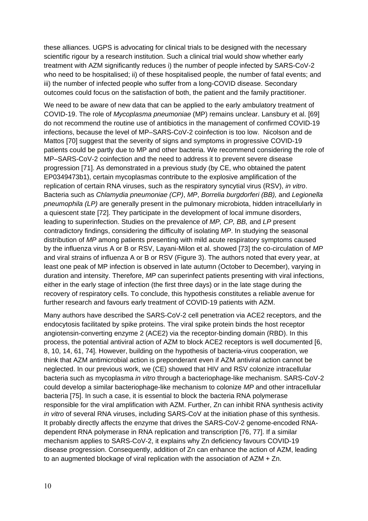these alliances. UGPS is advocating for clinical trials to be designed with the necessary scientific rigour by a research institution. Such a clinical trial would show whether early treatment with AZM significantly reduces i) the number of people infected by SARS-CoV-2 who need to be hospitalised; ii) of these hospitalised people, the number of fatal events; and iii) the number of infected people who suffer from a long-COVID disease. Secondary outcomes could focus on the satisfaction of both, the patient and the family practitioner.

We need to be aware of new data that can be applied to the early ambulatory treatment of COVID-19. The role of *Mycoplasma pneumoniae* (MP) remains unclear. Lansbury et al. [69] do not recommend the routine use of antibiotics in the management of confirmed COVID-19 infections, because the level of MP–SARS-CoV-2 coinfection is too low. Nicolson and de Mattos [70] suggest that the severity of signs and symptoms in progressive COVID-19 patients could be partly due to MP and other bacteria. We recommend considering the role of MP–SARS-CoV-2 coinfection and the need to address it to prevent severe disease progression [71]. As demonstrated in a previous study (by CE, who obtained the patent EP0349473b1), certain mycoplasmas contribute to the explosive amplification of the replication of certain RNA viruses, such as the respiratory syncytial virus (RSV), *in vitro*. Bacteria such as *Chlamydia pneumoniae (CP)*, *MP*, *Borrelia burgdorferi (BB),* and *Legionella pneumophila (LP)* are generally present in the pulmonary microbiota, hidden intracellularly in a quiescent state [72]. They participate in the development of local immune disorders, leading to superinfection. Studies on the prevalence of *MP, CP, BB,* and *LP* present contradictory findings, considering the difficulty of isolating *MP*. In studying the seasonal distribution of *MP* among patients presenting with mild acute respiratory symptoms caused by the influenza virus A or B or RSV, Layani-Milon et al. showed [73] the co-circulation of *MP* and viral strains of influenza A or B or RSV (Figure 3). The authors noted that every year, at least one peak of MP infection is observed in late autumn (October to December), varying in duration and intensity. Therefore, *MP* can superinfect patients presenting with viral infections, either in the early stage of infection (the first three days) or in the late stage during the recovery of respiratory cells. To conclude, this hypothesis constitutes a reliable avenue for further research and favours early treatment of COVID-19 patients with AZM.

Many authors have described the SARS-CoV-2 cell penetration via ACE2 receptors, and the endocytosis facilitated by spike proteins. The viral spike protein binds the host receptor angiotensin-converting enzyme 2 (ACE2) via the receptor-binding domain (RBD). In this process, the potential antiviral action of AZM to block ACE2 receptors is well documented [6, 8, 10, 14, 61, 74]. However, building on the hypothesis of bacteria-virus cooperation, we think that AZM antimicrobial action is preponderant even if AZM antiviral action cannot be neglected. In our previous work, we (CE) showed that HIV and RSV colonize intracellular bacteria such as mycoplasma *in vitro* through a bacteriophage-like mechanism. SARS-CoV-2 could develop a similar bacteriophage-like mechanism to colonize *MP* and other intracellular bacteria [75]. In such a case, it is essential to block the bacteria RNA polymerase responsible for the viral amplification with AZM. Further, Zn can inhibit RNA synthesis activity *in vitro* of several RNA viruses, including SARS-CoV at the initiation phase of this synthesis. It probably directly affects the enzyme that drives the SARS-CoV-2 genome-encoded RNAdependent RNA polymerase in RNA replication and transcription [76, 77]. If a similar mechanism applies to SARS-CoV-2, it explains why Zn deficiency favours COVID-19 disease progression. Consequently, addition of Zn can enhance the action of AZM, leading to an augmented blockage of viral replication with the association of AZM + Zn.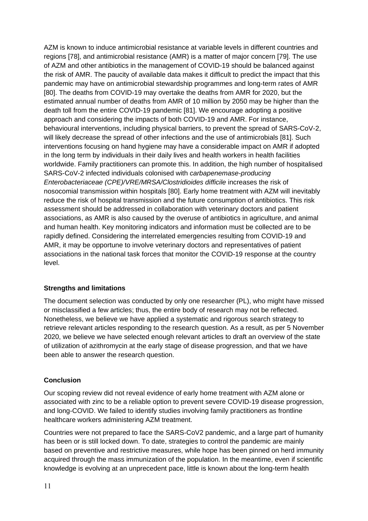AZM is known to induce antimicrobial resistance at variable levels in different countries and regions [78], and antimicrobial resistance (AMR) is a matter of major concern [79]. The use of AZM and other antibiotics in the management of COVID-19 should be balanced against the risk of AMR. The paucity of available data makes it difficult to predict the impact that this pandemic may have on antimicrobial stewardship programmes and long-term rates of AMR [80]. The deaths from COVID-19 may overtake the deaths from AMR for 2020, but the estimated annual number of deaths from AMR of 10 million by 2050 may be higher than the death toll from the entire COVID-19 pandemic [81]. We encourage adopting a positive approach and considering the impacts of both COVID-19 and AMR. For instance, behavioural interventions, including physical barriers, to prevent the spread of SARS-CoV-2, will likely decrease the spread of other infections and the use of antimicrobials [81]. Such interventions focusing on hand hygiene may have a considerable impact on AMR if adopted in the long term by individuals in their daily lives and health workers in health facilities worldwide. Family practitioners can promote this. In addition, the high number of hospitalised SARS-CoV-2 infected individuals colonised with *carbapenemase-producing Enterobacteriaceae (CPE)/VRE/MRSA/Clostridioides difficile* increases the risk of nosocomial transmission within hospitals [80]. Early home treatment with AZM will inevitably reduce the risk of hospital transmission and the future consumption of antibiotics. This risk assessment should be addressed in collaboration with veterinary doctors and patient associations, as AMR is also caused by the overuse of antibiotics in agriculture, and animal and human health. Key monitoring indicators and information must be collected are to be rapidly defined. Considering the interrelated emergencies resulting from COVID-19 and AMR, it may be opportune to involve veterinary doctors and representatives of patient associations in the national task forces that monitor the COVID-19 response at the country level.

## **Strengths and limitations**

The document selection was conducted by only one researcher (PL), who might have missed or misclassified a few articles; thus, the entire body of research may not be reflected. Nonetheless, we believe we have applied a systematic and rigorous search strategy to retrieve relevant articles responding to the research question. As a result, as per 5 November 2020, we believe we have selected enough relevant articles to draft an overview of the state of utilization of azithromycin at the early stage of disease progression, and that we have been able to answer the research question.

#### **Conclusion**

Our scoping review did not reveal evidence of early home treatment with AZM alone or associated with zinc to be a reliable option to prevent severe COVID-19 disease progression, and long-COVID. We failed to identify studies involving family practitioners as frontline healthcare workers administering AZM treatment.

Countries were not prepared to face the SARS-CoV2 pandemic, and a large part of humanity has been or is still locked down. To date, strategies to control the pandemic are mainly based on preventive and restrictive measures, while hope has been pinned on herd immunity acquired through the mass immunization of the population. In the meantime, even if scientific knowledge is evolving at an unprecedent pace, little is known about the long-term health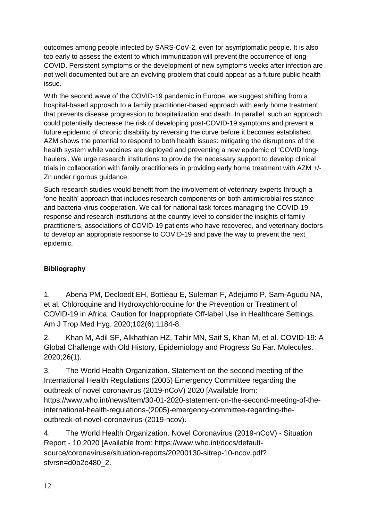outcomes among people infected by SARS-CoV-2, even for asymptomatic people. It is also too early to assess the extent to which immunization will prevent the occurrence of long-COVID. Persistent symptoms or the development of new symptoms weeks after infection are not well documented but are an evolving problem that could appear as a future public health issue.

With the second wave of the COVID-19 pandemic in Europe, we suggest shifting from a hospital-based approach to a family practitioner-based approach with early home treatment that prevents disease progression to hospitalization and death. In parallel, such an approach could potentially decrease the risk of developing post-COVID-19 symptoms and prevent a future epidemic of chronic disability by reversing the curve before it becomes established. AZM shows the potential to respond to both health issues: mitigating the disruptions of the health system while vaccines are deployed and preventing a new epidemic of 'COVID longhaulers'. We urge research institutions to provide the necessary support to develop clinical trials in collaboration with family practitioners in providing early home treatment with AZM +/- Zn under rigorous guidance.

Such research studies would benefit from the involvement of veterinary experts through a 'one health' approach that includes research components on both antimicrobial resistance and bacteria-virus cooperation. We call for national task forces managing the COVID-19 response and research institutions at the country level to consider the insights of family practitioners, associations of COVID-19 patients who have recovered, and veterinary doctors to develop an appropriate response to COVID-19 and pave the way to prevent the next epidemic.

# **Bibliography**

1. Abena PM, Decloedt EH, Bottieau E, Suleman F, Adejumo P, Sam-Agudu NA, et al. Chloroquine and Hydroxychloroquine for the Prevention or Treatment of COVID-19 in Africa: Caution for Inappropriate Off-label Use in Healthcare Settings. Am J Trop Med Hyg. 2020;102(6):1184-8.

2. Khan M, Adil SF, Alkhathlan HZ, Tahir MN, Saif S, Khan M, et al. COVID-19: A Global Challenge with Old History, Epidemiology and Progress So Far. Molecules. 2020;26(1).

3. The World Health Organization. Statement on the second meeting of the International Health Regulations (2005) Emergency Committee regarding the outbreak of novel coronavirus (2019-nCoV) 2020 [Available from: https://www.who.int/news/item/30-01-2020-statement-on-the-second-meeting-of-theinternational-health-regulations-(2005)-emergency-committee-regarding-theoutbreak-of-novel-coronavirus-(2019-ncov).

4. The World Health Organization. Novel Coronavirus (2019-nCoV) - Situation Report - 10 2020 [Available from: https://www.who.int/docs/defaultsource/coronaviruse/situation-reports/20200130-sitrep-10-ncov.pdf? sfvrsn=d0b2e480\_2.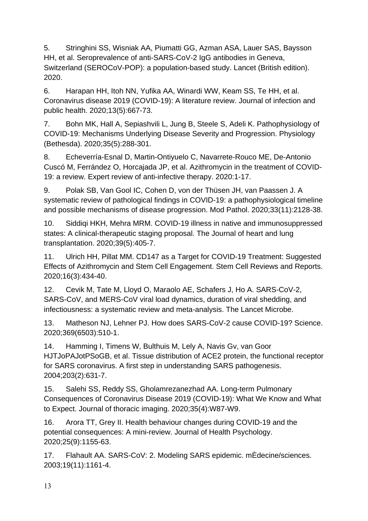5. Stringhini SS, Wisniak AA, Piumatti GG, Azman ASA, Lauer SAS, Baysson HH, et al. Seroprevalence of anti-SARS-CoV-2 IgG antibodies in Geneva, Switzerland (SEROCoV-POP): a population-based study. Lancet (British edition). 2020.

6. Harapan HH, Itoh NN, Yufika AA, Winardi WW, Keam SS, Te HH, et al. Coronavirus disease 2019 (COVID-19): A literature review. Journal of infection and public health. 2020;13(5):667-73.

7. Bohn MK, Hall A, Sepiashvili L, Jung B, Steele S, Adeli K. Pathophysiology of COVID-19: Mechanisms Underlying Disease Severity and Progression. Physiology (Bethesda). 2020;35(5):288-301.

8. Echeverría-Esnal D, Martin-Ontiyuelo C, Navarrete-Rouco ME, De-Antonio Cuscó M, Ferrández O, Horcajada JP, et al. Azithromycin in the treatment of COVID-19: a review. Expert review of anti-infective therapy. 2020:1-17.

9. Polak SB, Van Gool IC, Cohen D, von der Thüsen JH, van Paassen J. A systematic review of pathological findings in COVID-19: a pathophysiological timeline and possible mechanisms of disease progression. Mod Pathol. 2020;33(11):2128-38.

10. Siddiqi HKH, Mehra MRM. COVID-19 illness in native and immunosuppressed states: A clinical-therapeutic staging proposal. The Journal of heart and lung transplantation. 2020;39(5):405-7.

11. Ulrich HH, Pillat MM. CD147 as a Target for COVID-19 Treatment: Suggested Effects of Azithromycin and Stem Cell Engagement. Stem Cell Reviews and Reports. 2020;16(3):434-40.

12. Cevik M, Tate M, Lloyd O, Maraolo AE, Schafers J, Ho A. SARS-CoV-2, SARS-CoV, and MERS-CoV viral load dynamics, duration of viral shedding, and infectiousness: a systematic review and meta-analysis. The Lancet Microbe.

13. Matheson NJ, Lehner PJ. How does SARS-CoV-2 cause COVID-19? Science. 2020;369(6503):510-1.

14. Hamming I, Timens W, Bulthuis M, Lely A, Navis Gv, van Goor HJTJoPAJotPSoGB, et al. Tissue distribution of ACE2 protein, the functional receptor for SARS coronavirus. A first step in understanding SARS pathogenesis. 2004;203(2):631-7.

15. Salehi SS, Reddy SS, Gholamrezanezhad AA. Long-term Pulmonary Consequences of Coronavirus Disease 2019 (COVID-19): What We Know and What to Expect. Journal of thoracic imaging. 2020;35(4):W87-W9.

16. Arora TT, Grey II. Health behaviour changes during COVID-19 and the potential consequences: A mini-review. Journal of Health Psychology. 2020;25(9):1155-63.

17. Flahault AA. SARS-CoV: 2. Modeling SARS epidemic. mÈdecine/sciences. 2003;19(11):1161-4.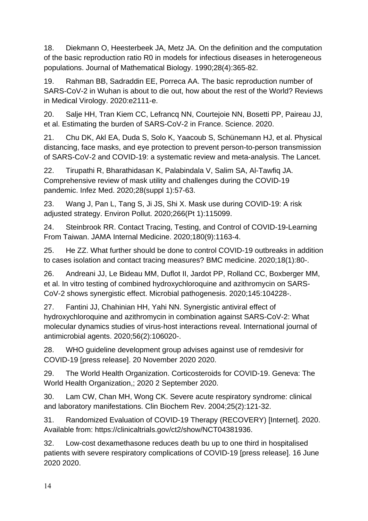18. Diekmann O, Heesterbeek JA, Metz JA. On the definition and the computation of the basic reproduction ratio R0 in models for infectious diseases in heterogeneous populations. Journal of Mathematical Biology. 1990;28(4):365-82.

19. Rahman BB, Sadraddin EE, Porreca AA. The basic reproduction number of SARS-CoV-2 in Wuhan is about to die out, how about the rest of the World? Reviews in Medical Virology. 2020:e2111-e.

20. Salje HH, Tran Kiem CC, Lefrancq NN, Courtejoie NN, Bosetti PP, Paireau JJ, et al. Estimating the burden of SARS-CoV-2 in France. Science. 2020.

21. Chu DK, Akl EA, Duda S, Solo K, Yaacoub S, Schünemann HJ, et al. Physical distancing, face masks, and eye protection to prevent person-to-person transmission of SARS-CoV-2 and COVID-19: a systematic review and meta-analysis. The Lancet.

22. Tirupathi R, Bharathidasan K, Palabindala V, Salim SA, Al-Tawfiq JA. Comprehensive review of mask utility and challenges during the COVID-19 pandemic. Infez Med. 2020;28(suppl 1):57-63.

23. Wang J, Pan L, Tang S, Ji JS, Shi X. Mask use during COVID-19: A risk adjusted strategy. Environ Pollut. 2020;266(Pt 1):115099.

24. Steinbrook RR. Contact Tracing, Testing, and Control of COVID-19-Learning From Taiwan. JAMA Internal Medicine. 2020;180(9):1163-4.

25. He ZZ. What further should be done to control COVID-19 outbreaks in addition to cases isolation and contact tracing measures? BMC medicine. 2020;18(1):80-.

26. Andreani JJ, Le Bideau MM, Duflot II, Jardot PP, Rolland CC, Boxberger MM, et al. In vitro testing of combined hydroxychloroquine and azithromycin on SARS-CoV-2 shows synergistic effect. Microbial pathogenesis. 2020;145:104228-.

27. Fantini JJ, Chahinian HH, Yahi NN. Synergistic antiviral effect of hydroxychloroquine and azithromycin in combination against SARS-CoV-2: What molecular dynamics studies of virus-host interactions reveal. International journal of antimicrobial agents. 2020;56(2):106020-.

28. WHO guideline development group advises against use of remdesivir for COVID-19 [press release]. 20 November 2020 2020.

29. The World Health Organization. Corticosteroids for COVID-19. Geneva: The World Health Organization,; 2020 2 September 2020.

30. Lam CW, Chan MH, Wong CK. Severe acute respiratory syndrome: clinical and laboratory manifestations. Clin Biochem Rev. 2004;25(2):121-32.

31. Randomized Evaluation of COVID-19 Therapy (RECOVERY) [Internet]. 2020. Available from: https://clinicaltrials.gov/ct2/show/NCT04381936.

32. Low-cost dexamethasone reduces death bu up to one third in hospitalised patients with severe respiratory complications of COVID-19 [press release]. 16 June 2020 2020.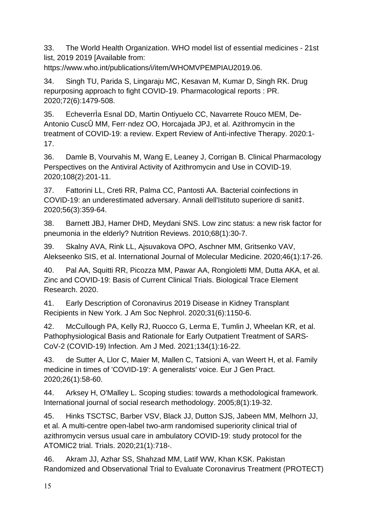33. The World Health Organization. WHO model list of essential medicines - 21st list, 2019 2019 [Available from:

https://www.who.int/publications/i/item/WHOMVPEMPIAU2019.06.

34. Singh TU, Parida S, Lingaraju MC, Kesavan M, Kumar D, Singh RK. Drug repurposing approach to fight COVID-19. Pharmacological reports : PR. 2020;72(6):1479-508.

35. EcheverrÌa Esnal DD, Martin Ontiyuelo CC, Navarrete Rouco MEM, De-Antonio CuscÛ MM, Ferr·ndez OO, Horcajada JPJ, et al. Azithromycin in the treatment of COVID-19: a review. Expert Review of Anti-infective Therapy. 2020:1- 17.

36. Damle B, Vourvahis M, Wang E, Leaney J, Corrigan B. Clinical Pharmacology Perspectives on the Antiviral Activity of Azithromycin and Use in COVID-19. 2020;108(2):201-11.

37. Fattorini LL, Creti RR, Palma CC, Pantosti AA. Bacterial coinfections in COVID-19: an underestimated adversary. Annali dell'Istituto superiore di sanit‡. 2020;56(3):359-64.

38. Barnett JBJ, Hamer DHD, Meydani SNS. Low zinc status: a new risk factor for pneumonia in the elderly? Nutrition Reviews. 2010;68(1):30-7.

39. Skalny AVA, Rink LL, Ajsuvakova OPO, Aschner MM, Gritsenko VAV, Alekseenko SIS, et al. International Journal of Molecular Medicine. 2020;46(1):17-26.

40. Pal AA, Squitti RR, Picozza MM, Pawar AA, Rongioletti MM, Dutta AKA, et al. Zinc and COVID-19: Basis of Current Clinical Trials. Biological Trace Element Research. 2020.

41. Early Description of Coronavirus 2019 Disease in Kidney Transplant Recipients in New York. J Am Soc Nephrol. 2020;31(6):1150-6.

42. McCullough PA, Kelly RJ, Ruocco G, Lerma E, Tumlin J, Wheelan KR, et al. Pathophysiological Basis and Rationale for Early Outpatient Treatment of SARS-CoV-2 (COVID-19) Infection. Am J Med. 2021;134(1):16-22.

43. de Sutter A, Llor C, Maier M, Mallen C, Tatsioni A, van Weert H, et al. Family medicine in times of 'COVID-19': A generalists' voice. Eur J Gen Pract. 2020;26(1):58-60.

44. Arksey H, O'Malley L. Scoping studies: towards a methodological framework. International journal of social research methodology. 2005;8(1):19-32.

45. Hinks TSCTSC, Barber VSV, Black JJ, Dutton SJS, Jabeen MM, Melhorn JJ, et al. A multi-centre open-label two-arm randomised superiority clinical trial of azithromycin versus usual care in ambulatory COVID-19: study protocol for the ATOMIC2 trial. Trials. 2020;21(1):718-.

46. Akram JJ, Azhar SS, Shahzad MM, Latif WW, Khan KSK. Pakistan Randomized and Observational Trial to Evaluate Coronavirus Treatment (PROTECT)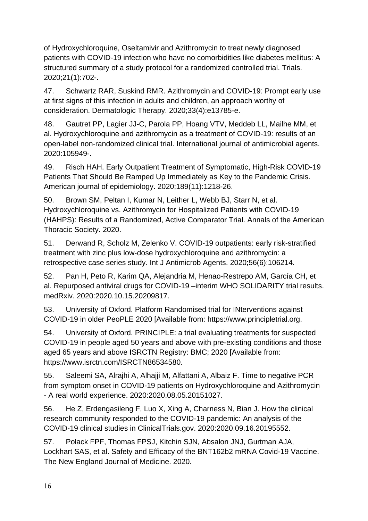of Hydroxychloroquine, Oseltamivir and Azithromycin to treat newly diagnosed patients with COVID-19 infection who have no comorbidities like diabetes mellitus: A structured summary of a study protocol for a randomized controlled trial. Trials. 2020;21(1):702-.

47. Schwartz RAR, Suskind RMR. Azithromycin and COVID-19: Prompt early use at first signs of this infection in adults and children, an approach worthy of consideration. Dermatologic Therapy. 2020;33(4):e13785-e.

48. Gautret PP, Lagier JJ-C, Parola PP, Hoang VTV, Meddeb LL, Mailhe MM, et al. Hydroxychloroquine and azithromycin as a treatment of COVID-19: results of an open-label non-randomized clinical trial. International journal of antimicrobial agents. 2020:105949-.

49. Risch HAH. Early Outpatient Treatment of Symptomatic, High-Risk COVID-19 Patients That Should Be Ramped Up Immediately as Key to the Pandemic Crisis. American journal of epidemiology. 2020;189(11):1218-26.

50. Brown SM, Peltan I, Kumar N, Leither L, Webb BJ, Starr N, et al. Hydroxychloroquine vs. Azithromycin for Hospitalized Patients with COVID-19 (HAHPS): Results of a Randomized, Active Comparator Trial. Annals of the American Thoracic Society. 2020.

51. Derwand R, Scholz M, Zelenko V. COVID-19 outpatients: early risk-stratified treatment with zinc plus low-dose hydroxychloroquine and azithromycin: a retrospective case series study. Int J Antimicrob Agents. 2020;56(6):106214.

52. Pan H, Peto R, Karim QA, Alejandria M, Henao-Restrepo AM, García CH, et al. Repurposed antiviral drugs for COVID-19 –interim WHO SOLIDARITY trial results. medRxiv. 2020:2020.10.15.20209817.

53. University of Oxford. Platform Randomised trial for INterventions against COVID-19 in older PeoPLE 2020 [Available from: https://www.principletrial.org.

54. University of Oxford. PRINCIPLE: a trial evaluating treatments for suspected COVID-19 in people aged 50 years and above with pre-existing conditions and those aged 65 years and above ISRCTN Registry: BMC; 2020 [Available from: https://www.isrctn.com/ISRCTN86534580.

55. Saleemi SA, Alrajhi A, Alhajji M, Alfattani A, Albaiz F. Time to negative PCR from symptom onset in COVID-19 patients on Hydroxychloroquine and Azithromycin - A real world experience. 2020:2020.08.05.20151027.

56. He Z, Erdengasileng F, Luo X, Xing A, Charness N, Bian J. How the clinical research community responded to the COVID-19 pandemic: An analysis of the COVID-19 clinical studies in ClinicalTrials.gov. 2020:2020.09.16.20195552.

57. Polack FPF, Thomas FPSJ, Kitchin SJN, Absalon JNJ, Gurtman AJA, Lockhart SAS, et al. Safety and Efficacy of the BNT162b2 mRNA Covid-19 Vaccine. The New England Journal of Medicine. 2020.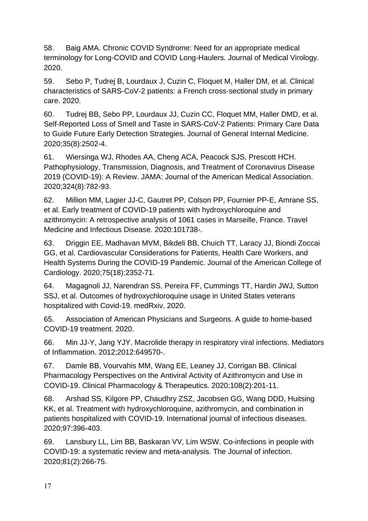58. Baig AMA. Chronic COVID Syndrome: Need for an appropriate medical terminology for Long-COVID and COVID Long-Haulers. Journal of Medical Virology. 2020.

59. Sebo P, Tudrej B, Lourdaux J, Cuzin C, Floquet M, Haller DM, et al. Clinical characteristics of SARS-CoV-2 patients: a French cross-sectional study in primary care. 2020.

60. Tudrej BB, Sebo PP, Lourdaux JJ, Cuzin CC, Floquet MM, Haller DMD, et al. Self-Reported Loss of Smell and Taste in SARS-CoV-2 Patients: Primary Care Data to Guide Future Early Detection Strategies. Journal of General Internal Medicine. 2020;35(8):2502-4.

61. Wiersinga WJ, Rhodes AA, Cheng ACA, Peacock SJS, Prescott HCH. Pathophysiology, Transmission, Diagnosis, and Treatment of Coronavirus Disease 2019 (COVID-19): A Review. JAMA: Journal of the American Medical Association. 2020;324(8):782-93.

62. Million MM, Lagier JJ-C, Gautret PP, Colson PP, Fournier PP-E, Amrane SS, et al. Early treatment of COVID-19 patients with hydroxychloroquine and azithromycin: A retrospective analysis of 1061 cases in Marseille, France. Travel Medicine and Infectious Disease. 2020:101738-.

63. Driggin EE, Madhavan MVM, Bikdeli BB, Chuich TT, Laracy JJ, Biondi Zoccai GG, et al. Cardiovascular Considerations for Patients, Health Care Workers, and Health Systems During the COVID-19 Pandemic. Journal of the American College of Cardiology. 2020;75(18):2352-71.

64. Magagnoli JJ, Narendran SS, Pereira FF, Cummings TT, Hardin JWJ, Sutton SSJ, et al. Outcomes of hydroxychloroquine usage in United States veterans hospitalized with Covid-19. medRxiv. 2020.

65. Association of American Physicians and Surgeons. A guide to home-based COVID-19 treatment. 2020.

66. Min JJ-Y, Jang YJY. Macrolide therapy in respiratory viral infections. Mediators of Inflammation. 2012;2012:649570-.

67. Damle BB, Vourvahis MM, Wang EE, Leaney JJ, Corrigan BB. Clinical Pharmacology Perspectives on the Antiviral Activity of Azithromycin and Use in COVID-19. Clinical Pharmacology & Therapeutics. 2020;108(2):201-11.

68. Arshad SS, Kilgore PP, Chaudhry ZSZ, Jacobsen GG, Wang DDD, Huitsing KK, et al. Treatment with hydroxychloroquine, azithromycin, and combination in patients hospitalized with COVID-19. International journal of infectious diseases. 2020;97:396-403.

69. Lansbury LL, Lim BB, Baskaran VV, Lim WSW. Co-infections in people with COVID-19: a systematic review and meta-analysis. The Journal of infection. 2020;81(2):266-75.